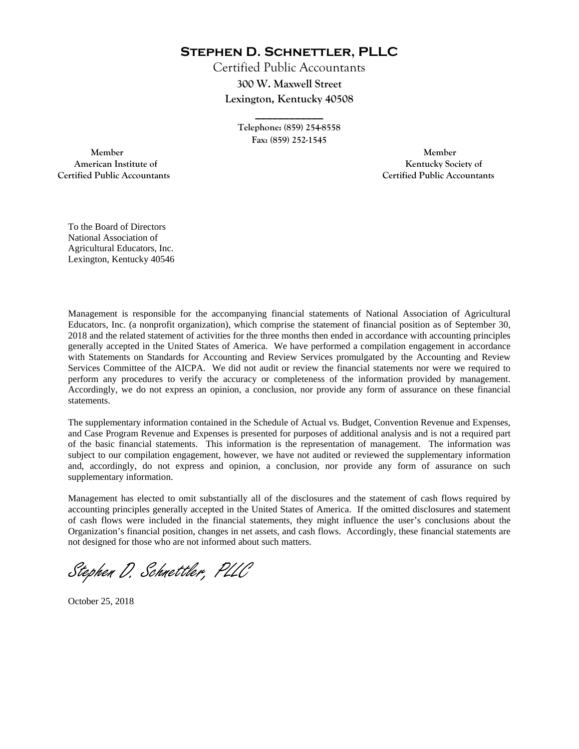**Stephen D. Schnettler, PLLC**

Certified Public Accountants **300 W. Maxwell Street Lexington, Kentucky 40508** 

> **Telephone: (859) 254-8558 Fax: (859) 252-1545**

**\_\_\_\_\_\_\_\_\_\_\_\_** 

 **Member Member Certified Public Accountants Certified Public Accountants** 

American Institute of **Kentucky Society of** 

To the Board of Directors National Association of Agricultural Educators, Inc. Lexington, Kentucky 40546

Management is responsible for the accompanying financial statements of National Association of Agricultural Educators, Inc. (a nonprofit organization), which comprise the statement of financial position as of September 30, 2018 and the related statement of activities for the three months then ended in accordance with accounting principles generally accepted in the United States of America. We have performed a compilation engagement in accordance with Statements on Standards for Accounting and Review Services promulgated by the Accounting and Review Services Committee of the AICPA. We did not audit or review the financial statements nor were we required to perform any procedures to verify the accuracy or completeness of the information provided by management. Accordingly, we do not express an opinion, a conclusion, nor provide any form of assurance on these financial statements.

The supplementary information contained in the Schedule of Actual vs. Budget, Convention Revenue and Expenses, and Case Program Revenue and Expenses is presented for purposes of additional analysis and is not a required part of the basic financial statements. This information is the representation of management. The information was subject to our compilation engagement, however, we have not audited or reviewed the supplementary information and, accordingly, do not express and opinion, a conclusion, nor provide any form of assurance on such supplementary information.

Management has elected to omit substantially all of the disclosures and the statement of cash flows required by accounting principles generally accepted in the United States of America. If the omitted disclosures and statement of cash flows were included in the financial statements, they might influence the user's conclusions about the Organization's financial position, changes in net assets, and cash flows. Accordingly, these financial statements are not designed for those who are not informed about such matters.

Stephen D. Schnettler, PLLC

October 25, 2018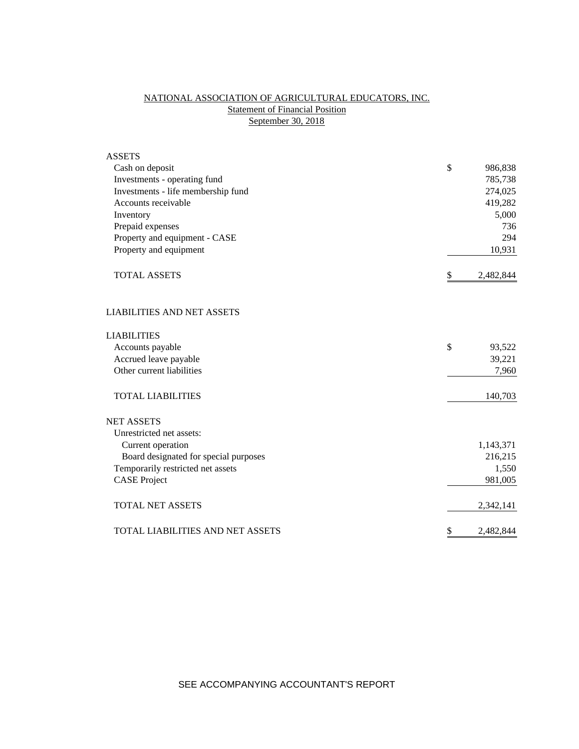# NATIONAL ASSOCIATION OF AGRICULTURAL EDUCATORS, INC. **Statement of Financial Position** September 30, 2018

| <b>ASSETS</b>                           |                 |
|-----------------------------------------|-----------------|
| Cash on deposit                         | \$<br>986,838   |
| Investments - operating fund            | 785,738         |
| Investments - life membership fund      | 274,025         |
| Accounts receivable                     | 419,282         |
| Inventory                               | 5,000           |
| Prepaid expenses                        | 736             |
| Property and equipment - CASE           | 294             |
| Property and equipment                  | 10,931          |
| <b>TOTAL ASSETS</b>                     | \$<br>2,482,844 |
| <b>LIABILITIES AND NET ASSETS</b>       |                 |
| <b>LIABILITIES</b>                      |                 |
| Accounts payable                        | \$<br>93,522    |
| Accrued leave payable                   | 39,221          |
| Other current liabilities               | 7,960           |
| <b>TOTAL LIABILITIES</b>                | 140,703         |
| <b>NET ASSETS</b>                       |                 |
| Unrestricted net assets:                |                 |
| Current operation                       | 1,143,371       |
| Board designated for special purposes   | 216,215         |
| Temporarily restricted net assets       | 1,550           |
| <b>CASE Project</b>                     | 981,005         |
| <b>TOTAL NET ASSETS</b>                 | 2,342,141       |
| <b>TOTAL LIABILITIES AND NET ASSETS</b> | \$<br>2,482,844 |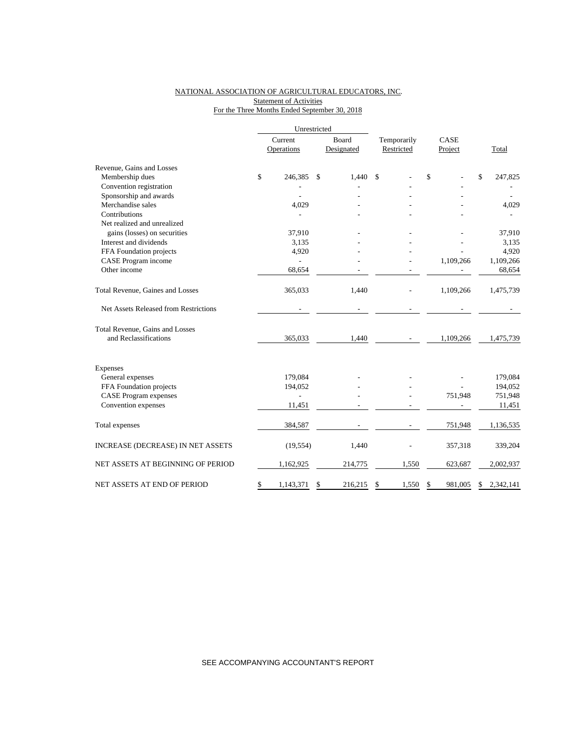## NATIONAL ASSOCIATION OF AGRICULTURAL EDUCATORS, INC. Statement of Activities For the Three Months Ended September 30, 2018

|                                       |                       | Unrestricted |               |             |    |           |    |           |
|---------------------------------------|-----------------------|--------------|---------------|-------------|----|-----------|----|-----------|
|                                       | Current<br>Operations |              | Board         | Temporarily |    | CASE      |    |           |
|                                       |                       |              | Designated    | Restricted  |    | Project   |    | Total     |
| Revenue, Gains and Losses             |                       |              |               |             |    |           |    |           |
| Membership dues                       | \$                    | 246,385      | \$<br>1,440   | \$          | \$ |           | \$ | 247,825   |
| Convention registration               |                       |              |               |             |    |           |    |           |
| Sponsorship and awards                |                       |              |               |             |    |           |    |           |
| Merchandise sales                     |                       | 4,029        |               |             |    |           |    | 4,029     |
| Contributions                         |                       |              |               |             |    |           |    |           |
| Net realized and unrealized           |                       |              |               |             |    |           |    |           |
| gains (losses) on securities          |                       | 37,910       |               |             |    |           |    | 37,910    |
| Interest and dividends                |                       | 3,135        |               |             |    |           |    | 3,135     |
| FFA Foundation projects               |                       | 4,920        |               |             |    |           |    | 4,920     |
| CASE Program income                   |                       |              |               |             |    | 1,109,266 |    | 1,109,266 |
| Other income                          |                       | 68,654       |               |             |    |           |    | 68,654    |
| Total Revenue, Gaines and Losses      |                       | 365,033      | 1,440         |             |    | 1,109,266 |    | 1,475,739 |
| Net Assets Released from Restrictions |                       |              |               |             |    |           |    |           |
| Total Revenue, Gains and Losses       |                       |              |               |             |    |           |    |           |
| and Reclassifications                 |                       | 365,033      | 1,440         |             |    | 1,109,266 |    | 1,475,739 |
| Expenses                              |                       |              |               |             |    |           |    |           |
| General expenses                      |                       | 179,084      |               |             |    |           |    | 179,084   |
| FFA Foundation projects               |                       | 194,052      |               |             |    |           |    | 194,052   |
| <b>CASE Program expenses</b>          |                       |              |               |             |    | 751,948   |    | 751,948   |
| Convention expenses                   |                       | 11,451       |               |             |    |           |    | 11,451    |
| Total expenses                        |                       | 384,587      |               |             |    | 751,948   |    | 1,136,535 |
| INCREASE (DECREASE) IN NET ASSETS     |                       | (19, 554)    | 1,440         |             |    | 357,318   |    | 339,204   |
| NET ASSETS AT BEGINNING OF PERIOD     |                       | 1,162,925    | 214,775       | 1,550       |    | 623,687   |    | 2,002,937 |
| NET ASSETS AT END OF PERIOD           | \$                    | 1,143,371    | \$<br>216,215 | \$<br>1,550 | \$ | 981,005   | \$ | 2,342,141 |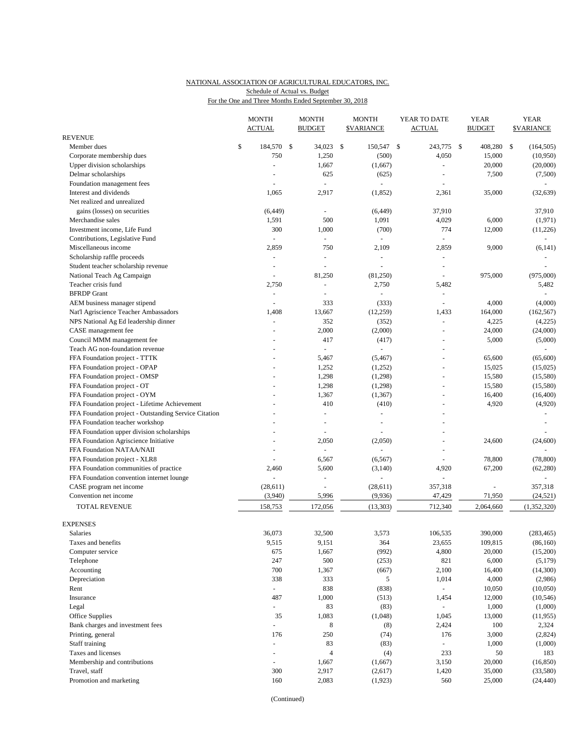## NATIONAL ASSOCIATION OF AGRICULTURAL EDUCATORS, INC. Schedule of Actual vs. Budget

For the One and Three Months Ended September 30, 2018

|                                                       | <b>MONTH</b>             | <b>MONTH</b>   |              | <b>MONTH</b>         | YEAR TO DATE             |              | <b>YEAR</b>   | <b>YEAR</b>       |
|-------------------------------------------------------|--------------------------|----------------|--------------|----------------------|--------------------------|--------------|---------------|-------------------|
|                                                       | <b>ACTUAL</b>            | <b>BUDGET</b>  |              | <b>\$VARIANCE</b>    | <b>ACTUAL</b>            |              | <b>BUDGET</b> | <b>\$VARIANCE</b> |
| <b>REVENUE</b>                                        |                          |                |              |                      |                          |              |               |                   |
| Member dues                                           | \$<br>184,570 \$         | 34,023         | $\mathbb{S}$ | 150,547 \$           | 243,775                  | $\mathbb{S}$ | 408,280       | \$<br>(164, 505)  |
| Corporate membership dues                             | 750                      | 1,250          |              | (500)                | 4,050                    |              | 15,000        | (10,950)          |
| Upper division scholarships                           | $\overline{\phantom{a}}$ | 1,667          |              | (1,667)              | ÷,                       |              | 20,000        | (20,000)          |
| Delmar scholarships                                   |                          | 625            |              | (625)                |                          |              | 7,500         | (7,500)           |
| Foundation management fees                            |                          | ÷              |              |                      |                          |              |               |                   |
| Interest and dividends                                | 1,065                    | 2,917          |              | (1, 852)             | 2,361                    |              | 35,000        | (32, 639)         |
| Net realized and unrealized                           |                          |                |              |                      |                          |              |               |                   |
| gains (losses) on securities                          | (6, 449)                 | $\blacksquare$ |              | (6, 449)             | 37,910                   |              |               | 37,910            |
| Merchandise sales                                     | 1,591                    | 500            |              | 1,091                | 4,029                    |              | 6,000         | (1,971)           |
| Investment income, Life Fund                          | 300                      | 1,000          |              | (700)                | 774                      |              | 12,000        | (11,226)          |
| Contributions, Legislative Fund                       | $\sim$                   | $\sim$         |              |                      |                          |              |               |                   |
| Miscellaneous income                                  | 2,859                    | 750            |              | 2,109                | 2,859                    |              | 9,000         | (6, 141)          |
| Scholarship raffle proceeds                           | $\sim$                   | $\overline{a}$ |              | $\sim$               | $\blacksquare$           |              |               |                   |
| Student teacher scholarship revenue                   | $\sim$                   |                |              |                      |                          |              |               |                   |
| National Teach Ag Campaign                            | $\overline{\phantom{a}}$ | 81,250         |              | (81,250)             | $\sim$                   |              | 975,000       | (975,000)         |
| Teacher crisis fund                                   | 2,750                    | ÷,             |              | 2,750                | 5,482                    |              |               | 5,482             |
| <b>BFRDP</b> Grant                                    | $\overline{\phantom{a}}$ | ä,             |              |                      | $\overline{\phantom{a}}$ |              |               |                   |
| AEM business manager stipend                          | $\overline{\phantom{a}}$ | 333            |              | (333)                | $\sim$                   |              | 4,000         | (4,000)           |
| Nat'l Agriscience Teacher Ambassadors                 | 1,408                    | 13,667         |              | (12, 259)            | 1,433                    |              | 164,000       | (162, 567)        |
| NPS National Ag Ed leadership dinner                  | $\blacksquare$           | 352            |              | (352)                | $\blacksquare$           |              | 4,225         | (4,225)           |
| CASE management fee                                   |                          | 2,000          |              | (2,000)              | $\blacksquare$           |              | 24,000        | (24,000)          |
| Council MMM management fee                            | $\sim$                   | 417            |              | (417)                | ÷,                       |              | 5,000         | (5,000)           |
| Teach AG non-foundation revenue                       |                          |                |              |                      |                          |              |               |                   |
| FFA Foundation project - TTTK                         |                          | 5,467          |              | (5, 467)             | ÷,                       |              | 65,600        | (65,600)          |
| FFA Foundation project - OPAP                         |                          | 1,252          |              | (1,252)              | ÷,                       |              | 15,025        | (15,025)          |
| FFA Foundation project - OMSP                         |                          | 1,298          |              | (1,298)              | ÷,                       |              | 15,580        | (15,580)          |
| FFA Foundation project - OT                           |                          | 1,298          |              | (1,298)              |                          |              | 15,580        | (15,580)          |
| FFA Foundation project - OYM                          |                          | 1,367          |              | (1, 367)             | ÷,                       |              | 16,400        | (16, 400)         |
| FFA Foundation project - Lifetime Achievement         |                          | 410            |              | (410)                |                          |              | 4,920         | (4,920)           |
| FFA Foundation project - Outstanding Service Citation |                          | L,             |              | $\sim$               |                          |              |               | $\sim$            |
| FFA Foundation teacher workshop                       |                          |                |              |                      |                          |              |               |                   |
| FFA Foundation upper division scholarships            |                          | L,             |              |                      | ä,                       |              |               |                   |
| FFA Foundation Agriscience Initiative                 |                          | 2,050          |              | (2,050)              | ÷,                       |              | 24,600        | (24, 600)         |
| FFA Foundation NATAA/NAII                             |                          | $\overline{a}$ |              |                      |                          |              |               |                   |
| FFA Foundation project - XLR8                         | ÷,                       | 6,567          |              | (6, 567)             | ÷,                       |              | 78,800        | (78, 800)         |
| FFA Foundation communities of practice                | 2,460                    | 5,600          |              | (3, 140)             | 4,920                    |              | 67,200        | (62, 280)         |
| FFA Foundation convention internet lounge             |                          | ÷,             |              |                      |                          |              |               |                   |
| CASE program net income<br>Convention net income      | (28, 611)                | ÷,<br>5,996    |              | (28, 611)<br>(9,936) | 357,318                  |              |               | 357,318           |
|                                                       | (3,940)                  |                |              |                      | 47,429                   |              | 71,950        | (24, 521)         |
| TOTAL REVENUE                                         | 158,753                  | 172,056        |              | (13, 303)            | 712,340                  |              | 2,064,660     | (1,352,320)       |
| <b>EXPENSES</b>                                       |                          |                |              |                      |                          |              |               |                   |
| Salaries                                              | 36,073                   | 32,500         |              | 3,573                | 106,535                  |              | 390,000       | (283, 465)        |
| Taxes and benefits                                    | 9,515                    | 9,151          |              | 364                  | 23,655                   |              | 109,815       | (86, 160)         |
| Computer service                                      | 675                      | 1,667          |              | (992)                | 4,800                    |              | 20,000        | (15,200)          |
| Telephone                                             | 247                      | 500            |              | (253)                | 821                      |              | 6,000         | (5,179)           |
| Accounting                                            | 700                      | 1,367          |              | (667)                | 2,100                    |              | 16,400        | (14,300)          |
| Depreciation                                          | 338                      | 333            |              | 5                    | 1,014                    |              | 4,000         | (2,986)           |
| Rent                                                  | $\omega_{\rm c}$         | 838            |              | (838)                | $\omega_{\rm c}$         |              | 10,050        | (10,050)          |
| Insurance                                             | 487                      | 1,000          |              | (513)                | 1,454                    |              | 12,000        | (10, 546)         |
| Legal                                                 | $\Box$                   | 83             |              | (83)                 |                          |              | 1,000         | (1,000)           |
| Office Supplies                                       | 35                       | 1,083          |              | (1,048)              | 1,045                    |              | 13,000        | (11, 955)         |
| Bank charges and investment fees                      | $\Box$                   | 8              |              | (8)                  | 2,424                    |              | 100           | 2,324             |
| Printing, general                                     | 176                      | 250            |              | (74)                 | 176                      |              | 3,000         | (2,824)           |
| Staff training                                        | $\blacksquare$           | 83             |              | (83)                 | ÷.                       |              | 1,000         | (1,000)           |
| Taxes and licenses                                    | $\overline{\phantom{a}}$ | $\overline{4}$ |              | (4)                  | 233                      |              | 50            | 183               |
| Membership and contributions                          | $\overline{\phantom{a}}$ | 1,667          |              | (1,667)              | 3,150                    |              | 20,000        | (16, 850)         |
| Travel, staff                                         | 300                      | 2,917          |              | (2,617)              | 1,420                    |              | 35,000        | (33,580)          |
| Promotion and marketing                               | 160                      | 2,083          |              | (1,923)              | 560                      |              | 25,000        | (24, 440)         |
|                                                       |                          |                |              |                      |                          |              |               |                   |

(Continued)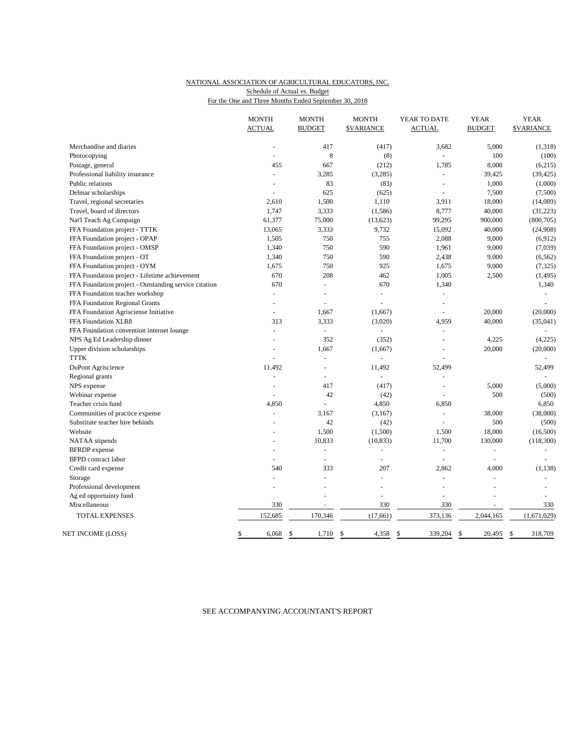## NATIONAL ASSOCIATION OF AGRICULTURAL EDUCATORS, INC. For the One and Three Months Ended September 30, 2018 Schedule of Actual vs. Budget

|                                                                          | <b>MONTH</b><br><b>ACTUAL</b> | <b>MONTH</b><br><b>BUDGET</b> | <b>MONTH</b><br><b>\$VARIANCE</b> | YEAR TO DATE<br><b>ACTUAL</b> | <b>YEAR</b><br><b>BUDGET</b> | <b>YEAR</b><br><b>\$VARIANCE</b> |
|--------------------------------------------------------------------------|-------------------------------|-------------------------------|-----------------------------------|-------------------------------|------------------------------|----------------------------------|
|                                                                          |                               |                               |                                   |                               |                              |                                  |
| Merchandise and diaries                                                  |                               | 417                           | (417)                             | 3,682                         | 5,000                        | (1,318)                          |
| Photocopying                                                             | $\overline{\phantom{a}}$      | 8                             | (8)                               |                               | 100                          | (100)                            |
| Postage, general                                                         | 455                           | 667                           | (212)                             | 1,785                         | 8,000                        | (6,215)                          |
| Professional liability insurance                                         | ÷,                            | 3,285                         | (3,285)                           | $\overline{\phantom{a}}$      | 39,425                       | (39, 425)                        |
| Public relations                                                         | L.                            | 83                            | (83)                              | ä,                            | 1,000                        | (1,000)                          |
| Delmar scholarships                                                      | $\overline{a}$                | 625                           | (625)                             | $\blacksquare$                | 7,500                        | (7,500)                          |
| Travel, regional secretaries                                             | 2,610                         | 1,500                         | 1,110                             | 3,911                         | 18,000                       | (14,089)                         |
| Travel, board of directors                                               | 1,747                         | 3,333                         | (1, 586)                          | 8,777                         | 40,000                       | (31, 223)                        |
| Nat'l Teach Ag Campaign                                                  | 61,377                        | 75,000                        | (13, 623)                         | 99,295                        | 900,000                      | (800, 705)                       |
| FFA Foundation project - TTTK                                            | 13,065                        | 3,333                         | 9,732                             | 15,092                        | 40,000                       | (24,908)                         |
| FFA Foundation project - OPAP                                            | 1,505                         | 750                           | 755                               | 2,088                         | 9,000                        | (6,912)                          |
| FFA Foundation project - OMSP                                            | 1,340                         | 750                           | 590                               | 1,961                         | 9,000                        | (7,039)                          |
| FFA Foundation project - OT                                              | 1,340                         | 750                           | 590                               | 2,438                         | 9,000                        | (6, 562)                         |
| FFA Foundation project - OYM                                             | 1,675                         | 750                           | 925                               | 1,675                         | 9,000                        | (7, 325)                         |
| FFA Foundation project - Lifetime achievement                            | 670                           | 208                           | 462                               | 1,005                         | 2,500                        | (1, 495)                         |
| FFA Foundation project - Outstanding service citation                    | 670                           | L.                            | 670                               | 1,340                         |                              | 1,340                            |
| FFA Foundation teacher workshop                                          | $\overline{\phantom{a}}$      | ÷,                            |                                   | $\overline{a}$                |                              |                                  |
| FFA Foundation Regional Grants                                           | ÷.                            | L.                            |                                   | $\blacksquare$                |                              |                                  |
| FFA Foundation Agrisciense Initiative                                    | ä,                            | 1,667                         | (1,667)                           | $\sim$                        | 20,000                       | (20,000)                         |
| FFA Foundation XLR8                                                      | 313                           | 3,333                         | (3,020)                           | 4,959                         | 40,000                       | (35,041)                         |
|                                                                          | ÷,                            | $\blacksquare$                | $\blacksquare$                    | $\blacksquare$                |                              |                                  |
| FFA Foundation convention internet lounge<br>NPS Ag Ed Leadership dinner |                               | 352                           | (352)                             | L.                            | 4,225                        | (4,225)                          |
|                                                                          |                               |                               |                                   |                               |                              |                                  |
| Upper division scholarships<br><b>TTTK</b>                               | $\blacksquare$                | 1,667                         | (1,667)                           | $\bar{a}$                     | 20,000                       | (20,000)                         |
|                                                                          |                               |                               |                                   |                               |                              |                                  |
| DuPont Agriscience                                                       | 11,492                        | $\overline{\phantom{a}}$      | 11,492                            | 52,499                        |                              | 52,499                           |
| Regional grants                                                          | $\blacksquare$                | ÷,                            |                                   | $\overline{\phantom{a}}$      |                              |                                  |
| NPS expense                                                              | $\overline{a}$                | 417                           | (417)                             | $\overline{a}$                | 5,000                        | (5,000)                          |
| Webinar expense                                                          |                               | 42                            | (42)                              | L,                            | 500                          | (500)                            |
| Teacher crisis fund                                                      | 4,850                         | $\omega$                      | 4,850                             | 6,850                         |                              | 6,850                            |
| Communities of practice expense                                          | L.                            | 3,167                         | (3,167)                           | ä,                            | 38,000                       | (38,000)                         |
| Substitute teacher hire behinds                                          |                               | 42                            | (42)                              | $\blacksquare$                | 500                          | (500)                            |
| Website                                                                  |                               | 1,500                         | (1,500)                           | 1,500                         | 18,000                       | (16,500)                         |
| NATAA stipends                                                           |                               | 10,833                        | (10, 833)                         | 11,700                        | 130,000                      | (118,300)                        |
| <b>BFRDP</b> expense                                                     | ÷,                            | $\overline{\phantom{a}}$      |                                   | $\overline{\phantom{a}}$      | $\blacksquare$               | $\qquad \qquad \blacksquare$     |
| <b>BFPD</b> contract labor                                               |                               | $\overline{\phantom{a}}$      |                                   | ÷.                            | L.                           |                                  |
| Credit card expense                                                      | 540                           | 333                           | 207                               | 2,862                         | 4,000                        | (1, 138)                         |
| Storage                                                                  | ÷.                            | L.                            | $\overline{a}$                    | L.                            | ÷,                           |                                  |
| Professional development                                                 |                               |                               |                                   | ÷                             |                              |                                  |
| Ag ed opportuinty fund                                                   |                               |                               | $\blacksquare$                    |                               | ä,                           |                                  |
| Miscellaneous                                                            | 330                           |                               | 330                               | 330                           |                              | 330                              |
| TOTAL EXPENSES                                                           | 152,685                       | 170,346                       | (17, 661)                         | 373,136                       | 2,044,165                    | (1,671,029)                      |
| NET INCOME (LOSS)                                                        | \$<br>6,068                   | \$<br>1,710                   | \$<br>4,358                       | \$<br>339,204                 | \$<br>20,495                 | \$<br>318,709                    |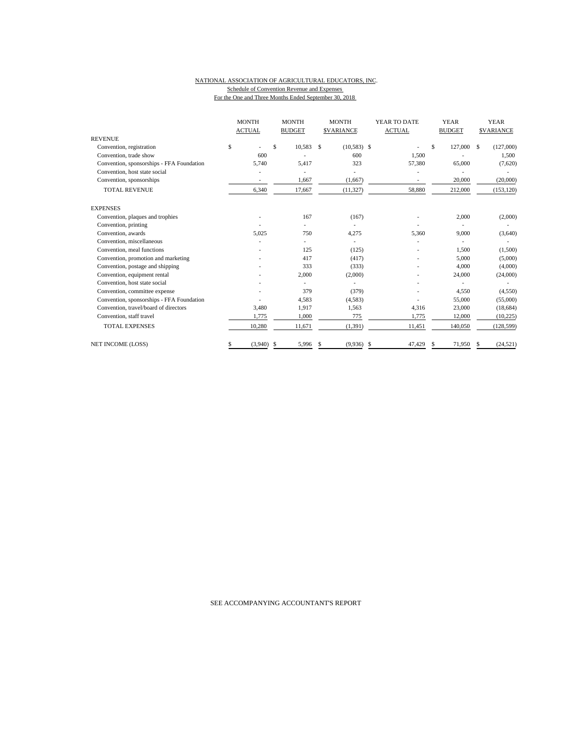#### NATIONAL ASSOCIATION OF AGRICULTURAL EDUCATORS, INC. Schedule of Convention Revenue and Expenses For the One and Three Months Ended September 30, 2018

|                                           | <b>MONTH</b>      | <b>MONTH</b>  | <b>MONTH</b>        | YEAR TO DATE  | <b>YEAR</b>   | <b>YEAR</b>      |
|-------------------------------------------|-------------------|---------------|---------------------|---------------|---------------|------------------|
|                                           | <b>ACTUAL</b>     | <b>BUDGET</b> | <b>\$VARIANCE</b>   | <b>ACTUAL</b> | <b>BUDGET</b> | <b>SVARIANCE</b> |
| <b>REVENUE</b>                            |                   |               |                     |               |               |                  |
| Convention, registration                  | \$                | \$<br>10.583  | $(10,583)$ \$<br>\$ |               | \$<br>127,000 | (127,000)<br>S.  |
| Convention, trade show                    | 600               |               | 600                 | 1.500         |               | 1,500            |
| Convention, sponsorships - FFA Foundation | 5.740             | 5,417         | 323                 | 57,380        | 65,000        | (7,620)          |
| Convention, host state social             |                   |               |                     |               |               |                  |
| Convention, sponsorships                  |                   | 1,667         | (1,667)             |               | 20,000        | (20,000)         |
| <b>TOTAL REVENUE</b>                      | 6,340             | 17,667        | (11, 327)           | 58,880        | 212,000       | (153, 120)       |
| <b>EXPENSES</b>                           |                   |               |                     |               |               |                  |
| Convention, plaques and trophies          |                   | 167           | (167)               |               | 2,000         | (2,000)          |
| Convention, printing                      |                   |               |                     |               |               |                  |
| Convention, awards                        | 5,025             | 750           | 4,275               | 5,360         | 9,000         | (3,640)          |
| Convention, miscellaneous                 |                   |               |                     |               |               |                  |
| Convention, meal functions                |                   | 125           | (125)               |               | 1,500         | (1,500)          |
| Convention, promotion and marketing       |                   | 417           | (417)               |               | 5,000         | (5,000)          |
| Convention, postage and shipping          |                   | 333           | (333)               |               | 4,000         | (4,000)          |
| Convention, equipment rental              |                   | 2,000         | (2,000)             |               | 24,000        | (24,000)         |
| Convention, host state social             |                   |               |                     |               |               |                  |
| Convention, committee expense             |                   | 379           | (379)               |               | 4,550         | (4,550)          |
| Convention, sponsorships - FFA Foundation |                   | 4,583         | (4,583)             |               | 55,000        | (55,000)         |
| Convention, travel/board of directors     | 3,480             | 1,917         | 1,563               | 4,316         | 23,000        | (18, 684)        |
| Convention, staff travel                  | 1,775             | 1,000         | 775                 | 1,775         | 12,000        | (10,225)         |
| <b>TOTAL EXPENSES</b>                     | 10,280            | 11,671        | (1, 391)            | 11,451        | 140,050       | (128, 599)       |
| NET INCOME (LOSS)                         | $(3,940)$ \$<br>S | 5,996         | (9,936)<br>\$       | \$<br>47,429  | 71,950<br>S   | (24, 521)<br>S   |